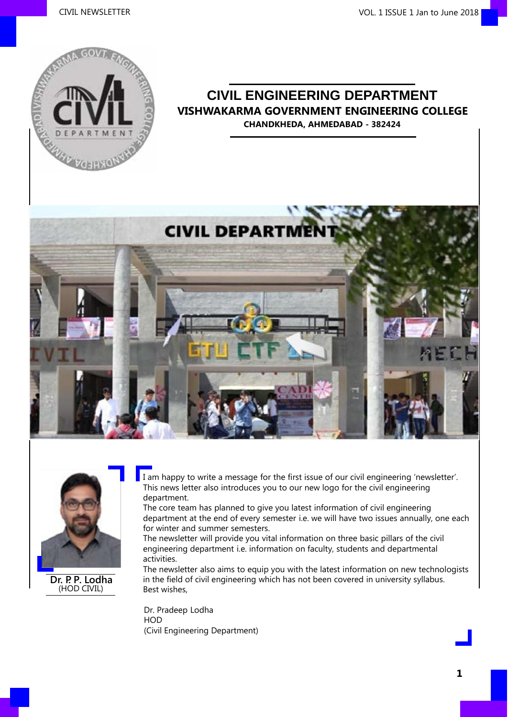

### **CIVIL ENGINEERING DEPARTMENT VISHWAKARMA GOVERNMENT ENGINEERING COLLEGE CHANDKHEDA, AHMEDABAD - 382424**





**Dr. P. P. Lodha** (HOD CIVIL)

I am happy to write a message for the first issue of our civil engineering 'newsletter'. This news letter also introduces you to our new logo for the civil engineering department.

The core team has planned to give you latest information of civil engineering department at the end of every semester i.e. we will have two issues annually, one each for winter and summer semesters.

The newsletter will provide you vital information on three basic pillars of the civil engineering department i.e. information on faculty, students and departmental activities.

The newsletter also aims to equip you with the latest information on new technologists in the field of civil engineering which has not been covered in university syllabus. Best wishes,

Dr. Pradeep Lodha HOD (Civil Engineering Department)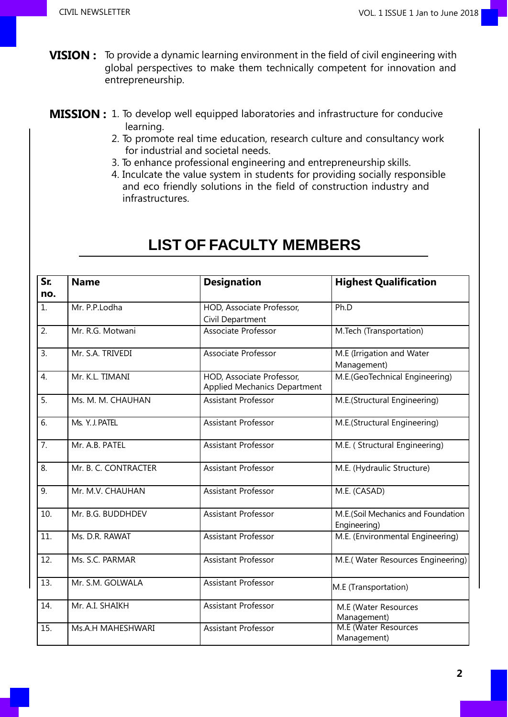- **VISION :** To provide a dynamic learning environment in the field of civil engineering with global perspectives to make them technically competent for innovation and entrepreneurship.
- **MISSION :** 1. To develop well equipped laboratories and infrastructure for conducive learning.
	- 2. To promote real time education, research culture and consultancy work for industrial and societal needs.
	- 3. To enhance professional engineering and entrepreneurship skills.
	- 4. Inculcate the value system in students for providing socially responsible and eco friendly solutions in the field of construction industry and infrastructures.

| Sr.              | <b>Name</b>          | <b>Designation</b>                  | <b>Highest Qualification</b>       |  |  |
|------------------|----------------------|-------------------------------------|------------------------------------|--|--|
| no.              |                      |                                     |                                    |  |  |
| 1.               | Mr. P.P.Lodha        | HOD, Associate Professor,           | Ph.D                               |  |  |
|                  |                      | Civil Department                    |                                    |  |  |
| 2.               | Mr. R.G. Motwani     | Associate Professor                 | M.Tech (Transportation)            |  |  |
| 3.               | Mr. S.A. TRIVEDI     | Associate Professor                 | M.E (Irrigation and Water          |  |  |
|                  |                      |                                     | Management)                        |  |  |
| 4.               | Mr. K.L. TIMANI      | HOD, Associate Professor,           | M.E.(GeoTechnical Engineering)     |  |  |
|                  |                      | <b>Applied Mechanics Department</b> |                                    |  |  |
| 5.               | Ms. M. M. CHAUHAN    | <b>Assistant Professor</b>          | M.E.(Structural Engineering)       |  |  |
| 6.               | Ms. Y. J. PATEL      | Assistant Professor                 | M.E.(Structural Engineering)       |  |  |
| 7.               | Mr. A.B. PATEL       | Assistant Professor                 | M.E. (Structural Engineering)      |  |  |
|                  |                      |                                     |                                    |  |  |
| 8.               | Mr. B. C. CONTRACTER | Assistant Professor                 | M.E. (Hydraulic Structure)         |  |  |
| $\overline{9}$ . | Mr. M.V. CHAUHAN     | <b>Assistant Professor</b>          | M.E. (CASAD)                       |  |  |
| 10.              | Mr. B.G. BUDDHDEV    | <b>Assistant Professor</b>          | M.E.(Soil Mechanics and Foundation |  |  |
|                  |                      |                                     | Engineering)                       |  |  |
| 11.              | Ms. D.R. RAWAT       | Assistant Professor                 | M.E. (Environmental Engineering)   |  |  |
| 12.              | Ms. S.C. PARMAR      | Assistant Professor                 | M.E.(Water Resources Engineering)  |  |  |
| 13.              | Mr. S.M. GOLWALA     | Assistant Professor                 | M.E (Transportation)               |  |  |
|                  |                      |                                     |                                    |  |  |
| 14.              | Mr. A.I. SHAIKH      | Assistant Professor                 | M.E (Water Resources               |  |  |
|                  |                      |                                     | Management)                        |  |  |
| 15.              | Ms.A.H MAHESHWARI    | Assistant Professor                 | M.E (Water Resources               |  |  |
|                  |                      |                                     | Management)                        |  |  |

### **LIST OF FACULTY MEMBERS**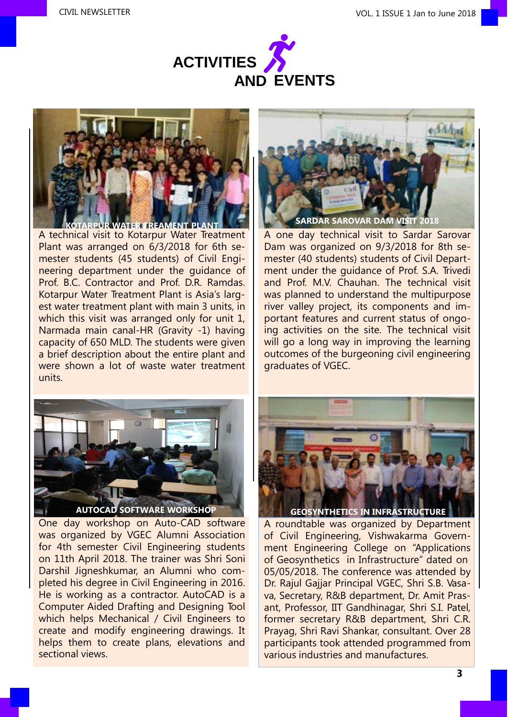



A technical visit to Kotarpur Water Treatment Plant was arranged on 6/3/2018 for 6th semester students (45 students) of Civil Engineering department under the guidance of Prof. B.C. Contractor and Prof. D.R. Ramdas. Kotarpur Water Treatment Plant is Asia's largest water treatment plant with main 3 units, in which this visit was arranged only for unit 1, Narmada main canal-HR (Gravity -1) having capacity of 650 MLD. The students were given a brief description about the entire plant and were shown a lot of waste water treatment units.



A one day technical visit to Sardar Sarovar Dam was organized on 9/3/2018 for 8th semester (40 students) students of Civil Department under the guidance of Prof. S.A. Trivedi and Prof. M.V. Chauhan. The technical visit was planned to understand the multipurpose river valley project, its components and important features and current status of ongoing activities on the site. The technical visit will go a long way in improving the learning outcomes of the burgeoning civil engineering graduates of VGEC.



One day workshop on Auto-CAD software was organized by VGEC Alumni Association for 4th semester Civil Engineering students on 11th April 2018. The trainer was Shri Soni Darshil Jigneshkumar, an Alumni who completed his degree in Civil Engineering in 2016. He is working as a contractor. AutoCAD is a Computer Aided Drafting and Designing Tool which helps Mechanical / Civil Engineers to create and modify engineering drawings. It helps them to create plans, elevations and sectional views.



A roundtable was organized by Department of Civil Engineering, Vishwakarma Government Engineering College on "Applications of Geosynthetics in Infrastructure" dated on 05/05/2018. The conference was attended by Dr. Rajul Gajjar Principal VGEC, Shri S.B. Vasava, Secretary, R&B department, Dr. Amit Prasant, Professor, IIT Gandhinagar, Shri S.I. Patel, former secretary R&B department, Shri C.R. Prayag, Shri Ravi Shankar, consultant. Over 28 participants took attended programmed from various industries and manufactures.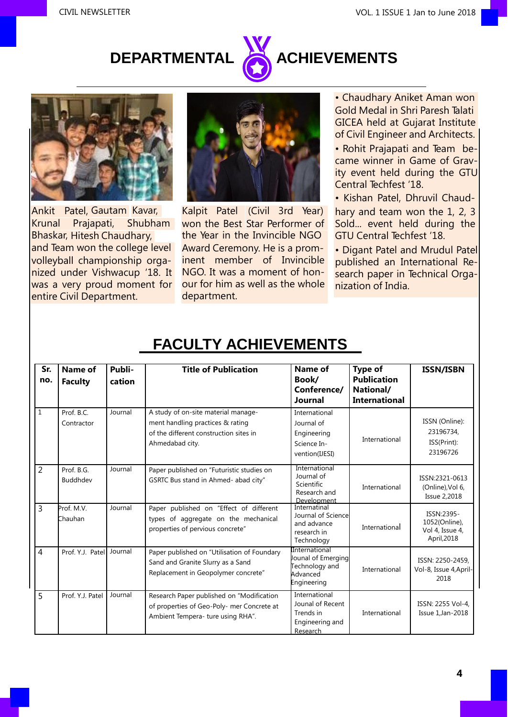# **DEPARTMENTAL ACHIEVEMENTS**





Ankit Patel, Gautam Kavar, Krunal Prajapati, Shubham won the Best Star Performer of and Team won the college level volleyball championship organized under Vishwacup '18. It was a very proud moment for entire Civil Department.



Kalpit Patel (Civil 3rd Year) Bhaskar, Hitesh Chaudhary, the Year in the Invincible NGO Award Ceremony. He is a prominent member of Invincible NGO. It was a moment of honour for him as well as the whole department.

• Chaudhary Aniket Aman won Gold Medal in Shri Paresh Talati GICEA held at Gujarat Institute of Civil Engineer and Architects.

• Rohit Prajapati and Team became winner in Game of Gravity event held during the GTU Central Techfest '18.

• Kishan Patel, Dhruvil Chaud-

hary and team won the 1, 2, 3 Sold... event held during the GTU Central Techfest '18.

• Digant Patel and Mrudul Patel published an International Research paper in Technical Organization of India.

| Sr.<br>no.     | <b>Name of</b><br><b>Faculty</b> | Publi-<br>cation | <b>Title of Publication</b>                                                                                                          | Name of<br>Book/<br>Conference/<br>Journal                                       | Type of<br><b>Publication</b><br>National/<br><b>International</b> | <b>ISSN/ISBN</b>                                              |
|----------------|----------------------------------|------------------|--------------------------------------------------------------------------------------------------------------------------------------|----------------------------------------------------------------------------------|--------------------------------------------------------------------|---------------------------------------------------------------|
| $\mathbf{1}$   | Prof. B.C.<br>Contractor         | Journal          | A study of on-site material manage-<br>ment handling practices & rating<br>of the different construction sites in<br>Ahmedabad city. | International<br>Journal of<br>Engineering<br>Science In-<br>vention(IJESI)      | International                                                      | ISSN (Online):<br>23196734,<br>ISS(Print):<br>23196726        |
| $\overline{2}$ | Prof. B.G.<br>Buddhdev           | Journal          | Paper published on "Futuristic studies on<br>GSRTC Bus stand in Ahmed- abad city"                                                    | International<br>Journal of<br>Scientific<br>Research and<br>Development         | International                                                      | ISSN:2321-0613<br>(Online), Vol 6,<br><b>Issue 2,2018</b>     |
| 3              | Prof. M.V.<br>Chauhan            | Journal          | Paper published on "Effect of different<br>types of aggregate on the mechanical<br>properties of pervious concrete"                  | Internatinal<br>Journal of Science<br>and advance<br>research in<br>Technology   | International                                                      | ISSN:2395-<br>1052(Online),<br>Vol 4, Issue 4,<br>April, 2018 |
| $\overline{4}$ | Prof. Y.J. Patel                 | Journal          | Paper published on "Utilisation of Foundary<br>Sand and Granite Slurry as a Sand<br>Replacement in Geopolymer concrete"              | International<br>Jounal of Emerging<br>Technology and<br>Advanced<br>Engineering | International                                                      | ISSN: 2250-2459,<br>Vol-8, Issue 4, April-<br>2018            |
| 5              | Prof. Y.J. Patel                 | Journal          | Research Paper published on "Modification<br>of properties of Geo-Poly- mer Concrete at<br>Ambient Tempera- ture using RHA".         | International<br>Jounal of Recent<br>Trends in<br>Engineering and<br>Research    | International                                                      | ISSN: 2255 Vol-4,<br>Issue 1, Jan-2018                        |

### **FACULTY ACHIEVEMENTS**